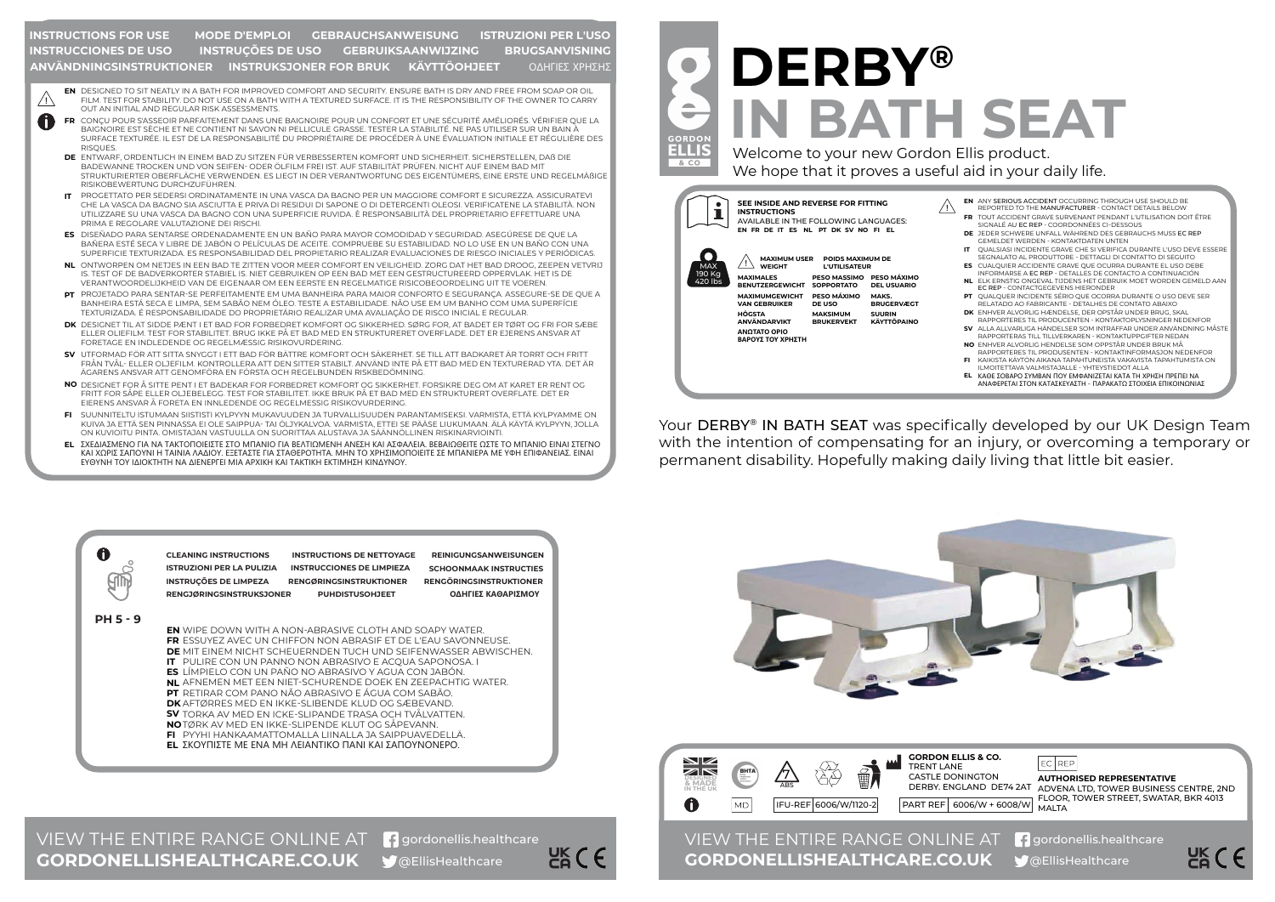## **INSTRUCTIONS FOR USE GEBRUIKSAANWIJZING** ΟΔΗΓΙΕΣ ΧΡΗΣΗΣ **MODE D'EMPLOI GEBRAUCHSANWEISUNG BRUGSANVISNING ANVÄNDNINGSINSTRUKTIONER INSTRUKSJONER FOR BRUK KÄYTTÖOHJEET ISTRUZIONI PER L'USO INSTRUCCIONES DE USO INSTRUÇÕES DE USO**

- DESIGNED TO SIT NEATLY IN A BATH FOR IMPROVED COMFORT AND SECURITY. ENSURE BATH IS DRY AND FREE FROM SOAP OR OIL **EN** FILM. TEST FOR STABILITY. DO NOT USE ON A BATH WITH A TEXTURED SURFACE. IT IS THE RESPONSIBILITY OF THE OWNER TO CARRY OUT AN INITIAL AND REGULAR RISK ASSESSMENTS.
- A CONÇU POUR S'ASSEOIR PARFAITEMENT DANS UNE BAIGNOIRE POUR UN CONFORT ET UNE SÉCURITÉ AMÉLIORÉS. VÉRIFIER QUE LA **FR** BAIGNOIRE EST SÈCHE ET NE CONTIENT NI SAVON NI PELLICULE GRASSE. TESTER LA STABILITÉ. NE PAS UTILISER SUR UN BAIN À SURFACE TEXTURÉE. IL EST DE LA RESPONSABILITÉ DU PROPRIÉTAIRE DE PROCÉDER À UNE ÉVALUATION INITIALE ET RÉGULIÈRE DES **RISQUES** 
	- **DE** ENTWARF, ORDENTLICH IN EINEM BAD ZU SITZEN FUR VERBESSERTEN KOMFORT UND SICHERHEIT. SICHERSTELLEN, DAß DIE BADEWANNE TROCKEN UND VON SEIFEN- ODER ÖLFILM FREI IST. AUF STABILITÄT PRÜFEN. NICHT AUF EINEM BAD MIT STRUKTURIERTER OBERFLÄCHE VERWENDEN. ES LIEGT IN DER VERANTWORTUNG DES EIGENTÜMERS, EINE ERSTE UND REGELMÄßIGE RISIKOBEWERTUNG DURCHZUFÜHREN.
	- PROGETTATO PER SEDERSI ORDINATAMENTE IN UNA VASCA DA BAGNO PER UN MAGGIORE COMFORT E SICUREZZA. ASSICURATEVI **IT** CHE LA VASCA DA BAGNO SIA ASCIUTTA E PRIVA DI RESIDUI DI SAPONE O DI DETERGENTI OLEOSI. VERIFICATENE LA STABILITÀ. NON UTILIZZARE SU UNA VASCA DA BAGNO CON UNA SUPERFICIE RUVIDA. È RESPONSABILITÀ DEL PROPRIETARIO EFFETTUARE UNA PRIMA E REGOLARE VALUTAZIONE DEI RISCHI.
	- **ES** DISENADO PARA SENTARSE ORDENADAMENTE EN UN BANO PARA MAYOR COMODIDAD Y SEGURIDAD. ASEGURESE DE QUE LA BAÑERA ESTÉ SECA Y LIBRE DE JABÓN O PELÍCULAS DE ACEITE. COMPRUEBE SU ESTABILIDAD. NO LO USE EN UN BAÑO CON UNA SUPERFICIE TEXTURIZADA. ES RESPONSABILIDAD DEL PROPIETARIO REALIZAR EVALUACIONES DE RIESGO INICIALES Y PERIÓDICAS.
	- ONTWORPEN OM NETJES IN EEN BAD TE ZITTEN VOOR MEER COMFORT EN VEILIGHEID. ZORG DAT HET BAD DROOG, ZEEPEN VETVRIJ **NL** IS. TEST OF DE BADVERKORTER STABIEL IS. NIET GEBRUIKEN OP EEN BAD MET EEN GESTRUCTUREERD OPPERVLAK. HET IS DE VERANTWOORDELIJKHEID VAN DE EIGENAAR OM EEN EERSTE EN REGELMATIGE RISICOBEOORDELING UIT TE VOEREN.
	- PROJETADO PARA SENTAR-SE PERFEITAMENTE EM UMA BANHEIRA PARA MAIOR CONFORTO E SEGURANÇA. ASSEGURE-SE DE QUE A **PT** BANHEIRA ESTÁ SECA E LIMPA, SEM SABÃO NEM ÓLEO. TESTE A ESTABILIDADE. NÃO USE EM UM BANHO COM UMA SUPERFÍCIE TEXTURIZADA. É RESPONSABILIDADE DO PROPRIETÁRIO REALIZAR UMA AVALIAÇÃO DE RISCO INICIAL E REGULAR.
	- DESIGNET TIL AT SIDDE PÆNT I ET BAD FOR FORBEDRET KOMFORT OG SIKKERHED. SØRG FOR, AT BADET ER TØRT OG FRI FOR SÆBE **DK** ELLER OLIEFILM. TEST FOR STABILITET. BRUG IKKE PÅ ET BAD MED EN STRUKTURERET OVERFLADE. DET ER EJERENS ANSVAR AT FORETAGE EN INDLEDENDE OG REGELMÆSSIG RISIKOVURDERING.
	- UTFORMAD FÖR ATT SITTA SNYGGT I ETT BAD FÖR BÄTTRE KOMFORT OCH SÄKERHET. SE TILL ATT BADKARET ÄR TORRT OCH FRITT **SV** FRÅN TVÅL- ELLER OLJEFILM. KONTROLLERA ATT DEN SITTER STABILT. ANVÄND INTE PÅ ETT BAD MED EN TEXTURERAD YTA. DET ÄR ÄGARENS ANSVAR ATT GENOMFÖRA EN FÖRSTA OCH REGELBUNDEN RISKBEDÖMNING.
	- **NO** DESIGNET FOR A SITTE PENT I ET BADEKAR FOR FORBEDRET KOMFORT OG SIKKERHET. FORSIKRE DEG OM AT KARET ER RENT OG FRITT FOR SÅPE ELLER OLJEBELEGG. TEST FOR STABILITET. IKKE BRUK PÅ ET BAD MED EN STRUKTURERT OVERFLATE. DET ER EIERENS ANSVAR Å FORETA EN INNLEDENDE OG REGELMESSIG RISIKOVURDERING.
	- SUUNNITELTU ISTUMAAN SIISTISTI KYLPYYN MUKAVUUDEN JA TURVALLISUUDEN PARANTAMISEKSI. VARMISTA, ETTÄ KYLPYAMME ON **FI** KUIVA JA ETTÄ SEN PINNASSA EI OLE SAIPPUA- TAI ÖLJYKALVOA. VARMISTA, ETTEI SE PÄÄSE LIUKUMAAN. ÄLÄ KÄYTÄ KYLPYYN, JOLLA ON KUVIOITU PINTA. OMISTAJAN VASTUULLA ON SUORITTAA ALUSTAVA JA SÄÄNNÖLLINEN RISKINARVIOINTI.
	- ΣΧΕΔΙΑΣΜΕΝΟ ΓΙΑ ΝΑ ΤΑΚΤΟΠΟΙΕΙΣΤΕ ΣΤΟ ΜΠΑΝΙΟ ΓΙΑ ΒΕΛΤΙΩΜΕΝΗ ΑΝΕΣΗ ΚΑΙ ΑΣΦΑΛΕΙΑ. ΒΕΒΑΙΩΘΕΙΤΕ ΩΣΤΕ ΤΟ ΜΠΑΝΙΟ ΕΙΝΑΙ ΣΤΕΓΝΟ **EL**ΚΑΙ ΧΩΡΙΣ ΣΑΠΟΥΝΙ Η ΤΑΙΝΙΑ ΛΑΔΙΟΥ. ΕΞΕΤΑΣΤΕ ΓΙΑ ΣΤΑΘΕΡΟΤΗΤΑ. ΜΗΝ ΤΟ ΧΡΗΣΙΜΟΠΟΙΕΙΤΕ ΣΕ ΜΠΑΝΙΕΡΑ ΜΕ ΥΦΗ ΕΠΙΦΑΝΕΙΑΣ. ΕΙΝΑΙ ΕΥΘΥΝΗ ΤΟΥ ΙΔΙΟΚΤΗΤΗ ΝΑ ΔΙΕΝΕΡΓΕΙ ΜΙΑ ΑΡΧΙΚΗ ΚΑΙ ΤΑΚΤΙΚΗ ΕΚΤΙΜΗΣΗ ΚΙΝΔΥΝΟΥ.



- **NL** AFNEMEN MET EEN NIET-SCHURENDE DOEK EN ZEEPACHTIG WATER.
- **PT** RETIRAR COM PANO NÃO ABRASIVO E ÁGUA COM SABÃO.
- **DK** AFTØRRES MED EN IKKE-SLIBENDE KLUD OG SÆBEVAND.
- **SV** TORKA AV MED EN ICKE-SLIPANDE TRASA OCH TVÅLVATTEN.
- **NO** TØRK AV MED EN IKKE-SLIPENDE KLUT OG SÅPEVANN.
- **FI** PYYHI HANKAAMATTOMALLA LIINALLA JA SAIPPUAVEDELLÄ.
- **EL** ΣΚΟΥΠΙΣΤΕ ΜΕ ΕΝΑ ΜΗ ΛΕΙΑΝΤΙΚΟ ΠΑΝΙ ΚΑΙ ΣΑΠΟΥΝΟΝΕΡΟ.

## **DERBY® IN BATH SEAT**

Welcome to your new Gordon Ellis product. We hope that it proves a useful aid in your daily life.

> **MAKS. BRUGERVÆGT**

**SUURIN KÄYTTÖPAINC** 



**ELLIS**  $& CO$ 

F&C E

- ANY SERIOUS ACCIDENT OCCURRING THROUGH USE SHOULD BE **EN**  $\bigwedge$ REPORTED TO THE MANUFACTURER - CONTACT DETAILS BELOW
	- TOUT ACCIDENT GRAVE SURVENANT PENDANT L'UTILISATION DOIT ÊTRE **FR** SIGNALÉ AU EC REP - COORDONNÉES CI-DESSOUS
	- JEDER SCHWERE UNFALL WÄHREND DES GEBRAUCHS MUSS EC REP **DE** GEMELDET WERDEN - KONTAKTDATEN UNTEN QUALSIASI INCIDENTE GRAVE CHE SI VERIFICA DURANTE L'USO DEVE ESSERE
	- CUALQUIER ACCIDENTE GRAVE QUE OCURRA DURANTE EL USO DEBE **ES** SEGNALATO AL PRODUTTORE - DETTAGLI DI CONTATTO DI SEGUITO **IT**
	- ELK ERNSTIG ONGEVAL TIJDENS HET GEBRUIK MOET WORDEN GEMELD AAN **NL** INFORMARSE A EC REP - DETALLES DE CONTACTO A CONTINUACIÓN
	- EC REP CONTACTGEGEVENS HIERONDER QUALQUER INCIDENTE SÉRIO QUE OCORRA DURANTE O USO DEVE SER **PT**
	- RELATADO AO FABRICANTE DETALHES DE CONTATO ABAIXO ENHVER ALVORLIG HÆNDELSE, DER OPSTÅR UNDER BRUG, SKAL **DK**
	- ALLA ALLVARLIGA HÄNDELSER SOM INTRÄFFAR UNDER ANVÄNDNING MÅSTE **SV** RAPPORTERES TIL PRODUCENTEN - KONTAKTOPLYSNINGER NEDENFOR
- RAPPORTERAS TILL TILLVERKAREN KONTAKTUPPGIFTER NEDAN ENHVER ALVORLIG HENDELSE SOM OPPSTÅR UNDER BRUK MÅ **NO**
	- RAPPORTERES TIL PRODUSENTEN KONTAKTINFORMASJON NEDENFOR
	- **FI** KAIKISTA KÄYTÖN AIKANA TAPAHTUNEISTA VAKAVISTA TAPAHTUMISTA ON ILMOITETTAVA VALMISTAJALLE - YHTEYSTIEDOT ALLA
	- ΚΑΘΕ ΣΟΒΑΡΟ ΣΥΜΒΑΝ ΠΟΥ ΕΜΦΑΝΙΖΕΤΑΙ ΚΑΤΑ ΤΗ ΧΡΗΣΗ ΠΡΕΠΕΙ ΝΑ **EL** ΑΝΑΦΕΡΕΤΑΙ ΣΤΟΝ ΚΑΤΑΣΚΕΥΑΣΤΗ - ΠΑΡΑΚΑΤΩ ΣΤΟΙΧΕΙΑ ΕΠΙΚΟΙΝΩΝΙΑΣ

Your DERBY® IN BATH SEAT was specifically developed by our UK Design Team with the intention of compensating for an injury, or overcoming a temporary or permanent disability. Hopefully making daily living that little bit easier.



@EllisHealthcare VIEW THE ENTIRE RANGE ONLINE AT **G** gordonellis.healthcare **GORDONELLISHEALTHCARE.CO.UK**